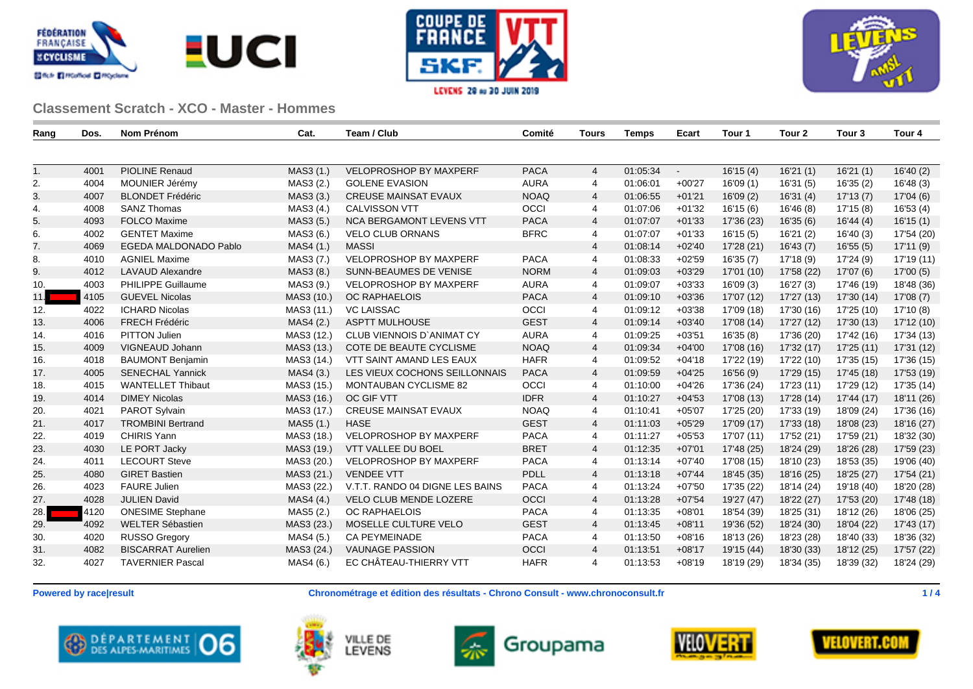





| Rang | Dos. | Nom Prénom                   | Cat.       | Team / Club                      | Comité      | Tours          | <b>Temps</b> | Ecart    | Tour 1     | Tour 2     | Tour 3     | Tour 4     |
|------|------|------------------------------|------------|----------------------------------|-------------|----------------|--------------|----------|------------|------------|------------|------------|
|      |      |                              |            |                                  |             |                |              |          |            |            |            |            |
| 1.   | 4001 | <b>PIOLINE Renaud</b>        | MAS3 (1.)  | <b>VELOPROSHOP BY MAXPERF</b>    | <b>PACA</b> | $\overline{4}$ | 01:05:34     | $\sim$   | 16'15(4)   | 16'21(1)   | 16'21(1)   | 16'40(2)   |
| 2.   | 4004 | MOUNIER Jérémy               | MAS3 (2.)  | <b>GOLENE EVASION</b>            | <b>AURA</b> | $\overline{4}$ | 01:06:01     | $+00'27$ | 16'09(1)   | 16'31(5)   | 16'35(2)   | 16'48 (3)  |
| 3.   | 4007 | <b>BLONDET Frédéric</b>      | MAS3 (3.)  | <b>CREUSE MAINSAT EVAUX</b>      | <b>NOAQ</b> | 4              | 01:06:55     | $+01'21$ | 16'09(2)   | 16'31(4)   | 17'13(7)   | 17'04 (6)  |
| 4.   | 4008 | <b>SANZ Thomas</b>           | MAS3 (4.)  | <b>CALVISSON VTT</b>             | OCCI        | $\overline{4}$ | 01:07:06     | $+01'32$ | 16'15 (6)  | 16'46 (8)  | 17'15 (8)  | 16'53 (4)  |
| 5.   | 4093 | <b>FOLCO Maxime</b>          | MAS3 (5.)  | <b>NCA BERGAMONT LEVENS VTT</b>  | <b>PACA</b> | $\overline{4}$ | 01:07:07     | $+01'33$ | 17'36 (23) | 16'35(6)   | 16'44(4)   | 16'15(1)   |
| 6.   | 4002 | <b>GENTET Maxime</b>         | MAS3 (6.)  | VELO CLUB ORNANS                 | <b>BFRC</b> | 4              | 01:07:07     | $+01'33$ | 16'15 (5)  | 16'21(2)   | 16'40 (3)  | 17'54 (20) |
| 7.   | 4069 | <b>EGEDA MALDONADO Pablo</b> | MAS4 (1.)  | <b>MASSI</b>                     |             | $\overline{4}$ | 01:08:14     | $+02'40$ | 17'28 (21) | 16'43(7)   | 16'55(5)   | 17'11(9)   |
| 8.   | 4010 | <b>AGNIEL Maxime</b>         | MAS3 (7.)  | VELOPROSHOP BY MAXPERF           | <b>PACA</b> | 4              | 01:08:33     | $+02'59$ | 16'35(7)   | 17'18 (9)  | 17'24 (9)  | 17'19 (11) |
| 9.   | 4012 | <b>LAVAUD Alexandre</b>      | MAS3 (8.)  | <b>SUNN-BEAUMES DE VENISE</b>    | <b>NORM</b> | $\overline{4}$ | 01:09:03     | $+03'29$ | 17'01 (10) | 17'58 (22) | 17'07 (6)  | 17'00(5)   |
| 10.  | 4003 | PHILIPPE Guillaume           | MAS3 (9.)  | <b>VELOPROSHOP BY MAXPERF</b>    | <b>AURA</b> | $\overline{4}$ | 01:09:07     | $+03'33$ | 16'09(3)   | 16'27(3)   | 17'46 (19) | 18'48 (36) |
| 11.  | 4105 | <b>GUEVEL Nicolas</b>        | MAS3 (10.) | <b>OC RAPHAELOIS</b>             | <b>PACA</b> | $\overline{4}$ | 01:09:10     | $+03'36$ | 17'07 (12) | 17'27 (13) | 17'30 (14) | 17'08 (7)  |
| 12.  | 4022 | <b>ICHARD Nicolas</b>        | MAS3 (11.) | <b>VC LAISSAC</b>                | OCCI        | $\overline{4}$ | 01:09:12     | $+03'38$ | 17'09 (18) | 17'30 (16) | 17'25 (10) | 17'10 (8)  |
| 13.  | 4006 | <b>FRECH Frédéric</b>        | MAS4 (2.)  | <b>ASPTT MULHOUSE</b>            | <b>GEST</b> | $\overline{4}$ | 01:09:14     | $+03'40$ | 17'08 (14) | 17'27 (12) | 17'30 (13) | 17'12 (10) |
| 14.  | 4016 | PITTON Julien                | MAS3 (12.) | <b>CLUB VIENNOIS D'ANIMAT CY</b> | <b>AURA</b> | $\overline{4}$ | 01:09:25     | $+03'51$ | 16'35(8)   | 17'36 (20) | 17'42 (16) | 17'34 (13) |
| 15.  | 4009 | VIGNEAUD Johann              | MAS3 (13.) | COTE DE BEAUTE CYCLISME          | <b>NOAQ</b> | $\overline{4}$ | 01:09:34     | $+04'00$ | 17'08 (16) | 17'32 (17) | 17'25 (11) | 17'31 (12) |
| 16.  | 4018 | <b>BAUMONT Benjamin</b>      | MAS3 (14.) | VTT SAINT AMAND LES EAUX         | <b>HAFR</b> | 4              | 01:09:52     | $+04'18$ | 17'22 (19) | 17'22 (10) | 17'35 (15) | 17'36 (15) |
| 17.  | 4005 | <b>SENECHAL Yannick</b>      | MAS4 (3.)  | LES VIEUX COCHONS SEILLONNAIS    | <b>PACA</b> | $\overline{4}$ | 01:09:59     | $+04'25$ | 16'56 (9)  | 17'29 (15) | 17'45 (18) | 17'53 (19) |
| 18.  | 4015 | <b>WANTELLET Thibaut</b>     | MAS3 (15.) | <b>MONTAUBAN CYCLISME 82</b>     | OCCI        | $\overline{4}$ | 01:10:00     | $+04'26$ | 17'36 (24) | 17'23 (11) | 17'29 (12) | 17'35 (14) |
| 19.  | 4014 | <b>DIMEY Nicolas</b>         | MAS3 (16.) | OC GIF VTT                       | <b>IDFR</b> | $\overline{4}$ | 01:10:27     | $+04'53$ | 17'08 (13) | 17'28 (14) | 17'44 (17) | 18'11 (26) |
| 20.  | 4021 | PAROT Sylvain                | MAS3 (17.) | <b>CREUSE MAINSAT EVAUX</b>      | <b>NOAQ</b> | $\overline{4}$ | 01:10:41     | $+05'07$ | 17'25 (20) | 17'33 (19) | 18'09 (24) | 17'36 (16) |
| 21.  | 4017 | <b>TROMBINI Bertrand</b>     | MAS5 (1.)  | <b>HASE</b>                      | <b>GEST</b> | $\overline{4}$ | 01:11:03     | $+05'29$ | 17'09 (17) | 17'33 (18) | 18'08 (23) | 18'16 (27) |
| 22.  | 4019 | <b>CHIRIS Yann</b>           | MAS3 (18.) | <b>VELOPROSHOP BY MAXPERF</b>    | <b>PACA</b> | $\overline{4}$ | 01:11:27     | $+05'53$ | 17'07 (11) | 17'52 (21) | 17'59 (21) | 18'32 (30) |
| 23.  | 4030 | LE PORT Jacky                | MAS3 (19.) | VTT VALLEE DU BOEL               | <b>BRET</b> | $\overline{4}$ | 01:12:35     | $+07'01$ | 17'48 (25) | 18'24 (29) | 18'26 (28) | 17'59 (23) |
| 24.  | 4011 | <b>LECOURT Steve</b>         | MAS3 (20.) | <b>VELOPROSHOP BY MAXPERF</b>    | <b>PACA</b> | 4              | 01:13:14     | $+07'40$ | 17'08 (15) | 18'10 (23) | 18'53 (35) | 19'06 (40) |
| 25.  | 4080 | <b>GIRET Bastien</b>         | MAS3 (21.) | <b>VENDEE VTT</b>                | PDLL        | $\overline{4}$ | 01:13:18     | $+07'44$ | 18'45 (35) | 18'16 (25) | 18'25 (27) | 17'54 (21) |
| 26.  | 4023 | <b>FAURE Julien</b>          | MAS3 (22.) | V.T.T. RANDO 04 DIGNE LES BAINS  | <b>PACA</b> | $\overline{4}$ | 01:13:24     | $+07'50$ | 17'35 (22) | 18'14 (24) | 19'18 (40) | 18'20 (28) |
| 27.  | 4028 | <b>JULIEN David</b>          | MAS4 (4.)  | VELO CLUB MENDE LOZERE           | OCCI        | $\overline{4}$ | 01:13:28     | $+07'54$ | 19'27 (47) | 18'22 (27) | 17'53 (20) | 17'48 (18) |
| 28.  | 4120 | <b>ONESIME Stephane</b>      | MAS5 (2.)  | <b>OC RAPHAELOIS</b>             | <b>PACA</b> | $\overline{4}$ | 01:13:35     | $+08'01$ | 18'54 (39) | 18'25 (31) | 18'12 (26) | 18'06 (25) |
| 29.  | 4092 | WELTER Sébastien             | MAS3 (23.) | MOSELLE CULTURE VELO             | <b>GEST</b> | $\overline{4}$ | 01:13:45     | $+08'11$ | 19'36 (52) | 18'24 (30) | 18'04 (22) | 17'43 (17) |
| 30.  | 4020 | <b>RUSSO Gregory</b>         | MAS4 (5.)  | <b>CA PEYMEINADE</b>             | <b>PACA</b> | $\overline{4}$ | 01:13:50     | $+08'16$ | 18'13 (26) | 18'23 (28) | 18'40 (33) | 18'36 (32) |
| 31.  | 4082 | <b>BISCARRAT Aurelien</b>    | MAS3 (24.) | <b>VAUNAGE PASSION</b>           | OCCI        | $\overline{4}$ | 01:13:51     | $+08'17$ | 19'15 (44) | 18'30 (33) | 18'12 (25) | 17'57 (22) |
| 32.  | 4027 | <b>TAVERNIER Pascal</b>      | MAS4 (6.)  | EC CHÂTEAU-THIERRY VTT           | <b>HAFR</b> | $\overline{4}$ | 01:13:53     | $+08'19$ | 18'19 (29) | 18'34 (35) | 18'39 (32) | 18'24 (29) |

**Powered by race|result Chronométrage et édition des résultats - Chrono Consult - www.chronoconsult.fr 1 / 4**









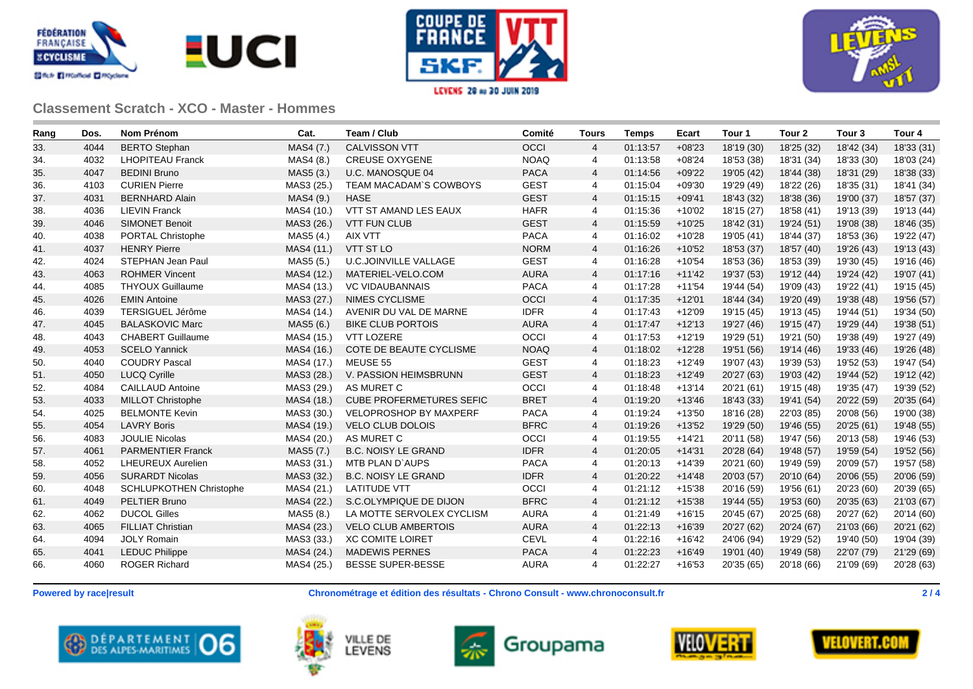







| Rang | Dos. | <b>Nom Prénom</b>              | Cat.       | Team / Club                     | Comité      | <b>Tours</b>   | <b>Temps</b> | Ecart    | Tour 1     | Tour 2     | Tour <sub>3</sub> | Tour <sub>4</sub> |
|------|------|--------------------------------|------------|---------------------------------|-------------|----------------|--------------|----------|------------|------------|-------------------|-------------------|
| 33.  | 4044 | <b>BERTO Stephan</b>           | MAS4 (7.)  | <b>CALVISSON VTT</b>            | OCCI        | $\overline{4}$ | 01:13:57     | $+08'23$ | 18'19 (30) | 18'25 (32) | 18'42 (34)        | 18'33 (31)        |
| 34.  | 4032 | <b>LHOPITEAU Franck</b>        | MAS4 (8.)  | <b>CREUSE OXYGENE</b>           | <b>NOAQ</b> | $\overline{4}$ | 01:13:58     | $+08'24$ | 18'53 (38) | 18'31 (34) | 18'33 (30)        | 18'03 (24)        |
| 35.  | 4047 | <b>BEDINI Bruno</b>            | MAS5 (3.)  | U.C. MANOSQUE 04                | <b>PACA</b> | 4              | 01:14:56     | $+09'22$ | 19'05 (42) | 18'44 (38) | 18'31 (29)        | 18'38 (33)        |
| 36.  | 4103 | <b>CURIEN Pierre</b>           | MAS3 (25.) | TEAM MACADAM'S COWBOYS          | <b>GEST</b> | 4              | 01:15:04     | $+09'30$ | 19'29 (49) | 18'22 (26) | 18'35 (31)        | 18'41 (34)        |
| 37.  | 4031 | <b>BERNHARD Alain</b>          | MAS4 (9.)  | <b>HASE</b>                     | <b>GEST</b> | $\overline{4}$ | 01:15:15     | $+09'41$ | 18'43 (32) | 18'38 (36) | 19'00 (37)        | 18'57 (37)        |
| 38.  | 4036 | <b>LIEVIN Franck</b>           | MAS4 (10.) | VTT ST AMAND LES EAUX           | <b>HAFR</b> | 4              | 01:15:36     | $+10'02$ | 18'15 (27) | 18'58 (41) | 19'13 (39)        | 19'13 (44)        |
| 39.  | 4046 | <b>SIMONET Benoit</b>          | MAS3 (26.) | <b>VTT FUN CLUB</b>             | <b>GEST</b> | $\overline{4}$ | 01:15:59     | $+10'25$ | 18'42 (31) | 19'24 (51) | 19'08 (38)        | 18'46 (35)        |
| 40.  | 4038 | PORTAL Christophe              | MAS5 (4.)  | AIX VTT                         | <b>PACA</b> | $\overline{4}$ | 01:16:02     | $+10'28$ | 19'05 (41) | 18'44 (37) | 18'53 (36)        | 19'22 (47)        |
| 41.  | 4037 | <b>HENRY Pierre</b>            | MAS4 (11.) | <b>VTT ST LO</b>                | <b>NORM</b> | $\overline{4}$ | 01:16:26     | $+10'52$ | 18'53 (37) | 18'57 (40) | 19'26 (43)        | 19'13 (43)        |
| 42.  | 4024 | STEPHAN Jean Paul              | MAS5 (5.)  | <b>U.C.JOINVILLE VALLAGE</b>    | <b>GEST</b> | 4              | 01:16:28     | $+10'54$ | 18'53 (36) | 18'53 (39) | 19'30 (45)        | 19'16 (46)        |
| 43.  | 4063 | <b>ROHMER Vincent</b>          | MAS4 (12.) | MATERIEL-VELO.COM               | <b>AURA</b> | 4              | 01:17:16     | $+11'42$ | 19'37 (53) | 19'12 (44) | 19'24 (42)        | 19'07 (41)        |
| 44.  | 4085 | <b>THYOUX Guillaume</b>        | MAS4 (13.) | <b>VC VIDAUBANNAIS</b>          | <b>PACA</b> | 4              | 01:17:28     | $+11'54$ | 19'44 (54) | 19'09 (43) | 19'22 (41)        | 19'15 (45)        |
| 45.  | 4026 | <b>EMIN Antoine</b>            | MAS3 (27.) | NIMES CYCLISME                  | OCCI        | 4              | 01:17:35     | $+12'01$ | 18'44 (34) | 19'20 (49) | 19'38 (48)        | 19'56 (57)        |
| 46.  | 4039 | TERSIGUEL Jérôme               | MAS4 (14.) | AVENIR DU VAL DE MARNE          | <b>IDFR</b> | 4              | 01:17:43     | $+12'09$ | 19'15 (45) | 19'13 (45) | 19'44 (51)        | 19'34 (50)        |
| 47.  | 4045 | <b>BALASKOVIC Marc</b>         | MAS5 (6.)  | <b>BIKE CLUB PORTOIS</b>        | <b>AURA</b> | 4              | 01:17:47     | $+12'13$ | 19'27 (46) | 19'15 (47) | 19'29 (44)        | 19'38 (51)        |
| 48.  | 4043 | <b>CHABERT Guillaume</b>       | MAS4 (15.) | <b>VTT LOZERE</b>               | OCCI        | 4              | 01:17:53     | $+12'19$ | 19'29 (51) | 19'21 (50) | 19'38 (49)        | 19'27 (49)        |
| 49.  | 4053 | <b>SCELO Yannick</b>           | MAS4 (16.) | COTE DE BEAUTE CYCLISME         | <b>NOAQ</b> | $\overline{4}$ | 01:18:02     | $+12'28$ | 19'51 (56) | 19'14 (46) | 19'33 (46)        | 19'26 (48)        |
| 50.  | 4040 | <b>COUDRY Pascal</b>           | MAS4 (17.) | MEUSE 55                        | <b>GEST</b> | 4              | 01:18:23     | $+12'49$ | 19'07 (43) | 19'39 (53) | 19'52 (53)        | 19'47 (54)        |
| 51.  | 4050 | <b>LUCQ Cyrille</b>            | MAS3 (28.) | V. PASSION HEIMSBRUNN           | <b>GEST</b> | $\overline{4}$ | 01:18:23     | $+12'49$ | 20'27 (63) | 19'03 (42) | 19'44 (52)        | 19'12 (42)        |
| 52.  | 4084 | <b>CAILLAUD Antoine</b>        | MAS3 (29.) | AS MURET C                      | OCCI        | 4              | 01:18:48     | $+13'14$ | 20'21 (61) | 19'15 (48) | 19'35 (47)        | 19'39 (52)        |
| 53.  | 4033 | <b>MILLOT Christophe</b>       | MAS4 (18.) | <b>CUBE PROFERMETURES SEFIC</b> | <b>BRET</b> | $\overline{4}$ | 01:19:20     | $+13'46$ | 18'43 (33) | 19'41 (54) | 20'22 (59)        | 20'35 (64)        |
| 54.  | 4025 | <b>BELMONTE Kevin</b>          | MAS3 (30.) | VELOPROSHOP BY MAXPERF          | <b>PACA</b> | 4              | 01:19:24     | $+13'50$ | 18'16 (28) | 22'03 (85) | 20'08 (56)        | 19'00 (38)        |
| 55.  | 4054 | <b>LAVRY Boris</b>             | MAS4 (19.) | <b>VELO CLUB DOLOIS</b>         | <b>BFRC</b> | 4              | 01:19:26     | $+13'52$ | 19'29 (50) | 19'46 (55) | 20'25 (61)        | 19'48 (55)        |
| 56.  | 4083 | <b>JOULIE Nicolas</b>          | MAS4 (20.) | AS MURET C                      | OCCI        | 4              | 01:19:55     | $+14'21$ | 20'11 (58) | 19'47 (56) | 20'13 (58)        | 19'46 (53)        |
| 57.  | 4061 | <b>PARMENTIER Franck</b>       | MAS5 (7.)  | <b>B.C. NOISY LE GRAND</b>      | <b>IDFR</b> | 4              | 01:20:05     | $+14'31$ | 20'28 (64) | 19'48 (57) | 19'59 (54)        | 19'52 (56)        |
| 58.  | 4052 | <b>LHEUREUX Aurelien</b>       | MAS3 (31.) | MTB PLAN D'AUPS                 | <b>PACA</b> | $\overline{4}$ | 01:20:13     | $+14'39$ | 20'21 (60) | 19'49 (59) | 20'09 (57)        | 19'57 (58)        |
| 59.  | 4056 | <b>SURARDT Nicolas</b>         | MAS3 (32.) | <b>B.C. NOISY LE GRAND</b>      | <b>IDFR</b> | $\overline{4}$ | 01:20:22     | $+14'48$ | 20'03 (57) | 20'10 (64) | 20'06 (55)        | 20'06 (59)        |
| 60.  | 4048 | <b>SCHLUPKOTHEN Christophe</b> | MAS4 (21.) | <b>LATITUDE VTT</b>             | OCCI        | 4              | 01:21:12     | $+15'38$ | 20'16 (59) | 19'56 (61) | 20'23 (60)        | 20'39 (65)        |
| 61.  | 4049 | <b>PELTIER Bruno</b>           | MAS4 (22.) | S.C.OLYMPIQUE DE DIJON          | <b>BFRC</b> | $\overline{4}$ | 01:21:12     | $+15'38$ | 19'44 (55) | 19'53 (60) | 20'35 (63)        | 21'03 (67)        |
| 62.  | 4062 | <b>DUCOL Gilles</b>            | MAS5 (8.)  | LA MOTTE SERVOLEX CYCLISM       | <b>AURA</b> | 4              | 01:21:49     | $+16'15$ | 20'45 (67) | 20'25 (68) | 20'27 (62)        | 20'14 (60)        |
| 63.  | 4065 | <b>FILLIAT Christian</b>       | MAS4 (23.) | <b>VELO CLUB AMBERTOIS</b>      | <b>AURA</b> | 4              | 01:22:13     | $+16'39$ | 20'27 (62) | 20'24 (67) | 21'03 (66)        | 20'21 (62)        |
| 64.  | 4094 | <b>JOLY Romain</b>             | MAS3 (33.) | <b>XC COMITE LOIRET</b>         | <b>CEVL</b> | $\overline{4}$ | 01:22:16     | $+16'42$ | 24'06 (94) | 19'29 (52) | 19'40 (50)        | 19'04 (39)        |
| 65.  | 4041 | <b>LEDUC Philippe</b>          | MAS4 (24.) | <b>MADEWIS PERNES</b>           | <b>PACA</b> | $\overline{4}$ | 01:22:23     | $+16'49$ | 19'01 (40) | 19'49 (58) | 22'07 (79)        | 21'29 (69)        |
| 66.  | 4060 | <b>ROGER Richard</b>           | MAS4 (25.) | <b>BESSE SUPER-BESSE</b>        | <b>AURA</b> | 4              | 01:22:27     | $+16'53$ | 20'35 (65) | 20'18 (66) | 21'09 (69)        | 20'28 (63)        |

**Powered by race|result Chronométrage et édition des résultats - Chrono Consult - www.chronoconsult.fr 2 / 4**









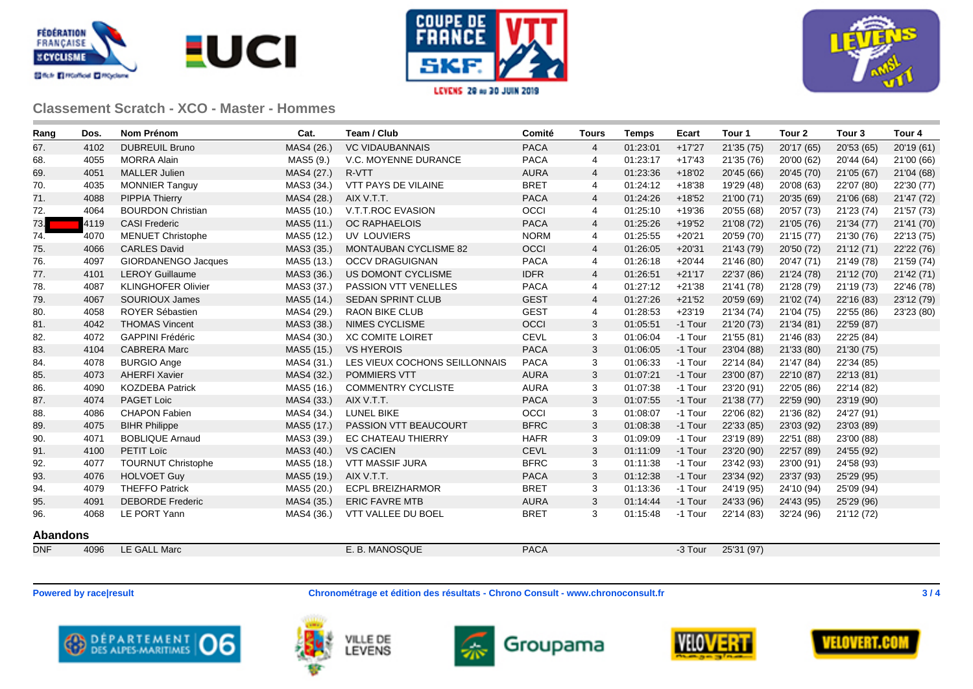







| Rang            | Dos. | <b>Nom Prénom</b>          | Cat.       | Team / Club                   | Comité      | <b>Tours</b>   | <b>Temps</b> | Ecart    | Tour 1     | Tour <sub>2</sub> | Tour <sub>3</sub> | Tour <sub>4</sub> |
|-----------------|------|----------------------------|------------|-------------------------------|-------------|----------------|--------------|----------|------------|-------------------|-------------------|-------------------|
| 67.             | 4102 | <b>DUBREUIL Bruno</b>      | MAS4 (26.) | <b>VC VIDAUBANNAIS</b>        | <b>PACA</b> | $\overline{4}$ | 01:23:01     | $+17'27$ | 21'35 (75) | 20'17 (65)        | 20'53 (65)        | 20'19 (61)        |
| 68.             | 4055 | <b>MORRA Alain</b>         | MAS5 (9.)  | V.C. MOYENNE DURANCE          | <b>PACA</b> | 4              | 01:23:17     | $+17'43$ | 21'35 (76) | 20'00 (62)        | 20'44 (64)        | 21'00 (66)        |
| 69.             | 4051 | <b>MALLER Julien</b>       | MAS4 (27.) | R-VTT                         | <b>AURA</b> | 4              | 01:23:36     | $+18'02$ | 20'45 (66) | 20'45 (70)        | 21'05 (67)        | 21'04 (68)        |
| 70.             | 4035 | <b>MONNIER Tanguy</b>      | MAS3 (34.) | <b>VTT PAYS DE VILAINE</b>    | <b>BRET</b> | 4              | 01:24:12     | $+18'38$ | 19'29 (48) | 20'08 (63)        | 22'07 (80)        | 22'30 (77)        |
| 71.             | 4088 | <b>PIPPIA Thierry</b>      | MAS4 (28.) | AIX V.T.T.                    | <b>PACA</b> | 4              | 01:24:26     | $+18'52$ | 21'00 (71) | 20'35 (69)        | 21'06 (68)        | 21'47 (72)        |
| 72.             | 4064 | <b>BOURDON Christian</b>   | MAS5 (10.) | V.T.T.ROC EVASION             | OCCI        | 4              | 01:25:10     | $+19'36$ | 20'55 (68) | 20'57 (73)        | 21'23 (74)        | 21'57 (73)        |
| 73.             | 4119 | <b>CASI Frederic</b>       | MAS5 (11.) | <b>OC RAPHAELOIS</b>          | <b>PACA</b> | 4              | 01:25:26     | $+19'52$ | 21'08 (72) | 21'05 (76)        | 21'34 (77)        | 21'41 (70)        |
| 74.             | 4070 | <b>MENUET Christophe</b>   | MAS5 (12.) | UV LOUVIERS                   | <b>NORM</b> | 4              | 01:25:55     | $+20'21$ | 20'59 (70) | 21'15 (77)        | 21'30 (76)        | 22'13 (75)        |
| 75.             | 4066 | <b>CARLES David</b>        | MAS3 (35.) | <b>MONTAUBAN CYCLISME 82</b>  | <b>OCCI</b> | 4              | 01:26:05     | $+20'31$ | 21'43 (79) | 20'50 (72)        | 21'12 (71)        | 22'22 (76)        |
| 76.             | 4097 | <b>GIORDANENGO Jacques</b> | MAS5 (13.) | <b>OCCV DRAGUIGNAN</b>        | <b>PACA</b> | 4              | 01:26:18     | $+20'44$ | 21'46 (80) | 20'47 (71)        | 21'49 (78)        | 21'59 (74)        |
| 77.             | 4101 | <b>LEROY Guillaume</b>     | MAS3 (36.) | US DOMONT CYCLISME            | <b>IDFR</b> | 4              | 01:26:51     | $+21'17$ | 22'37 (86) | 21'24 (78)        | 21'12 (70)        | 21'42 (71)        |
| 78.             | 4087 | <b>KLINGHOFER Olivier</b>  | MAS3 (37.) | <b>PASSION VTT VENELLES</b>   | <b>PACA</b> | 4              | 01:27:12     | $+21'38$ | 21'41 (78) | 21'28 (79)        | 21'19 (73)        | 22'46 (78)        |
| 79.             | 4067 | <b>SOURIOUX James</b>      | MAS5 (14.) | <b>SEDAN SPRINT CLUB</b>      | <b>GEST</b> | 4              | 01:27:26     | $+21'52$ | 20'59 (69) | 21'02 (74)        | 22'16 (83)        | 23'12 (79)        |
| 80.             | 4058 | <b>ROYER Sébastien</b>     | MAS4 (29.) | <b>RAON BIKE CLUB</b>         | <b>GEST</b> | 4              | 01:28:53     | $+23'19$ | 21'34 (74) | 21'04 (75)        | 22'55 (86)        | 23'23 (80)        |
| 81.             | 4042 | <b>THOMAS Vincent</b>      | MAS3 (38.) | <b>NIMES CYCLISME</b>         | OCCI        | 3              | 01:05:51     | -1 Tour  | 21'20 (73) | 21'34 (81)        | 22'59 (87)        |                   |
| 82.             | 4072 | <b>GAPPINI Frédéric</b>    | MAS4 (30.) | <b>XC COMITE LOIRET</b>       | <b>CEVL</b> | 3              | 01:06:04     | -1 Tour  | 21'55 (81) | 21'46 (83)        | 22'25 (84)        |                   |
| 83.             | 4104 | <b>CABRERA Marc</b>        | MAS5 (15.) | <b>VS HYEROIS</b>             | <b>PACA</b> | 3              | 01:06:05     | -1 Tour  | 23'04 (88) | 21'33 (80)        | 21'30 (75)        |                   |
| 84.             | 4078 | <b>BURGIO Ange</b>         | MAS4 (31.) | LES VIEUX COCHONS SEILLONNAIS | <b>PACA</b> | 3              | 01:06:33     | -1 Tour  | 22'14 (84) | 21'47 (84)        | 22'34 (85)        |                   |
| 85.             | 4073 | <b>AHERFI Xavier</b>       | MAS4 (32.) | POMMIERS VTT                  | <b>AURA</b> | 3              | 01:07:21     | -1 Tour  | 23'00 (87) | 22'10 (87)        | 22'13 (81)        |                   |
| 86.             | 4090 | <b>KOZDEBA Patrick</b>     | MAS5 (16.) | <b>COMMENTRY CYCLISTE</b>     | <b>AURA</b> | 3              | 01:07:38     | -1 Tour  | 23'20 (91) | 22'05 (86)        | 22'14 (82)        |                   |
| 87.             | 4074 | PAGET Loic                 | MAS4 (33.) | AIX V.T.T.                    | <b>PACA</b> | 3              | 01:07:55     | -1 Tour  | 21'38 (77) | 22'59 (90)        | 23'19 (90)        |                   |
| 88.             | 4086 | <b>CHAPON Fabien</b>       | MAS4 (34.) | <b>LUNEL BIKE</b>             | OCCI        | 3              | 01:08:07     | -1 Tour  | 22'06 (82) | 21'36 (82)        | 24'27 (91)        |                   |
| 89.             | 4075 | <b>BIHR Philippe</b>       | MAS5 (17.) | PASSION VTT BEAUCOURT         | <b>BFRC</b> | 3              | 01:08:38     | -1 Tour  | 22'33 (85) | 23'03 (92)        | 23'03 (89)        |                   |
| 90.             | 4071 | <b>BOBLIQUE Arnaud</b>     | MAS3 (39.) | EC CHATEAU THIERRY            | <b>HAFR</b> | 3              | 01:09:09     | -1 Tour  | 23'19 (89) | 22'51 (88)        | 23'00 (88)        |                   |
| 91.             | 4100 | <b>PETIT Loïc</b>          | MAS3 (40.) | <b>VS CACIEN</b>              | <b>CEVL</b> | 3              | 01:11:09     | -1 Tour  | 23'20 (90) | 22'57 (89)        | 24'55 (92)        |                   |
| 92.             | 4077 | <b>TOURNUT Christophe</b>  | MAS5 (18.) | <b>VTT MASSIF JURA</b>        | <b>BFRC</b> | 3              | 01:11:38     | -1 Tour  | 23'42 (93) | 23'00 (91)        | 24'58 (93)        |                   |
| 93.             | 4076 | <b>HOLVOET Guy</b>         | MAS5 (19.) | AIX V.T.T.                    | <b>PACA</b> | 3              | 01:12:38     | -1 Tour  | 23'34 (92) | 23'37 (93)        | 25'29 (95)        |                   |
| 94.             | 4079 | <b>THEFFO Patrick</b>      | MAS5 (20.) | <b>ECPL BREIZHARMOR</b>       | <b>BRET</b> | 3              | 01:13:36     | -1 Tour  | 24'19 (95) | 24'10 (94)        | 25'09 (94)        |                   |
| 95.             | 4091 | <b>DEBORDE Frederic</b>    | MAS4 (35.) | <b>ERIC FAVRE MTB</b>         | <b>AURA</b> | 3              | 01:14:44     | -1 Tour  | 24'33 (96) | 24'43 (95)        | 25'29 (96)        |                   |
| 96.             | 4068 | LE PORT Yann               | MAS4 (36.) | VTT VALLEE DU BOEL            | <b>BRET</b> | 3              | 01:15:48     | -1 Tour  | 22'14 (83) | 32'24 (96)        | 21'12 (72)        |                   |
| <b>Abandons</b> |      |                            |            |                               |             |                |              |          |            |                   |                   |                   |
| <b>DNF</b>      | 4096 | <b>LE GALL Marc</b>        |            | E. B. MANOSQUE                | <b>PACA</b> |                |              | -3 Tour  | 25'31 (97) |                   |                   |                   |

**Powered by race|result Chronométrage et édition des résultats - Chrono Consult - www.chronoconsult.fr 3 / 4**